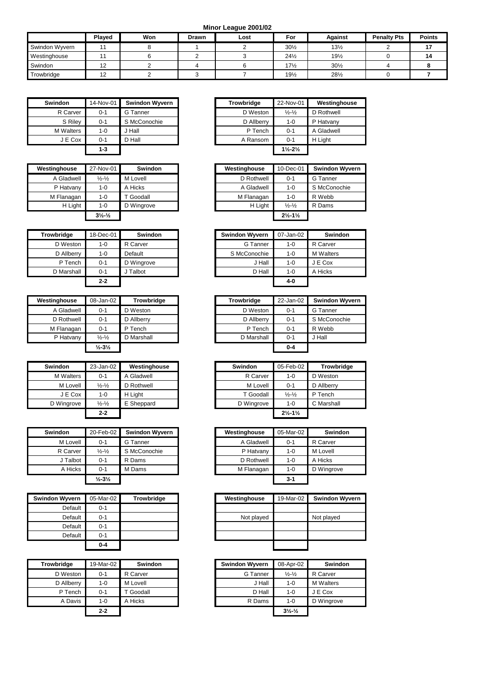**Minor League 2001/02**

|                | <b>Plaved</b> | Won | Drawn | Lost | For             | Against         | <b>Penalty Pts</b> | <b>Points</b> |
|----------------|---------------|-----|-------|------|-----------------|-----------------|--------------------|---------------|
| Swindon Wyvern |               |     |       |      | $30\frac{1}{2}$ | $13\frac{1}{2}$ |                    |               |
| Westinghouse   |               |     |       |      | $24\frac{1}{2}$ | $19\frac{1}{2}$ |                    | 14            |
| Swindon        | 12            |     |       |      | $17\frac{1}{2}$ | $30\frac{1}{2}$ |                    |               |
| Trowbridge     | 12            |     |       |      | $19\frac{1}{2}$ | $28\frac{1}{2}$ |                    |               |

| Swindon   | 14-Nov-01 | <b>Swindon Wyvern</b> | <b>Trowbridge</b> | 22-Nov-01                     | West    |
|-----------|-----------|-----------------------|-------------------|-------------------------------|---------|
| R Carver  | $0 - 1$   | G Tanner              | D Weston          | $\frac{1}{2} - \frac{1}{2}$   | D Roth  |
| S Rilev   | $0 - 1$   | S McConochie          | D Allberry        | $1-0$                         | P Hatv  |
| M Walters | $1 - 0$   | Hall                  | P Tench           | $0 - 1$                       | A Glad  |
| J E Cox   | $0 - 1$   | D Hall                | A Ransom          | $0 - 1$                       | H Light |
|           | $1 - 3$   |                       |                   | $1\frac{1}{2} - 2\frac{1}{2}$ |         |

| Westinghouse | 27-Nov-01                   | <b>Swindon</b> | Westinghouse | 10-Dec-01                       | <b>Swindor</b> |
|--------------|-----------------------------|----------------|--------------|---------------------------------|----------------|
| A Gladwell   | $\frac{1}{2} - \frac{1}{2}$ | M Lovell       | D Rothwell   | $0 - 1$                         | G Tanner       |
| P Hatvany    | $1 - 0$                     | A Hicks        | A Gladwell   | $1 - 0$                         | S McCon        |
| M Flanagan   | $1 - 0$                     | Goodall        | M Flanagan   | $1 - 0$                         | R Webb         |
| H Light      | $1 - 0$                     | D Wingrove     | H Light      | $\frac{1}{2} - \frac{1}{2}$     | R Dams         |
|              | $3\frac{1}{2}\frac{1}{2}$   |                |              | $2\frac{1}{2}$ -1 $\frac{1}{2}$ |                |

| Trowbridge | 18-Dec-01 | <b>Swindon</b> | <b>Swindon Wyvern</b> | 07-Jan-02 | Swindon          |
|------------|-----------|----------------|-----------------------|-----------|------------------|
| D Weston   | $1 - 0$   | R Carver       | G Tanner              | $1 - 0$   | R Carver         |
| D Allberry | $1 - 0$   | Default        | S McConochie          | $1 - 0$   | <b>M</b> Walters |
| P Tench    | $0 - 1$   | D Wingrove     | J Hall                | $1 - 0$   | J E Cox          |
| D Marshall | $0 - 1$   | Talbot         | D Hall                | $1-0$     | A Hicks          |
|            | $2 - 2$   |                |                       | 4-0       |                  |

| Westinghouse | 08-Jan-02                    | <b>Trowbridge</b> | <b>Trowbridge</b> | 22-Jan-02 | <b>Swindor</b> |
|--------------|------------------------------|-------------------|-------------------|-----------|----------------|
| A Gladwell   | $0 - 1$                      | D Weston          | D Weston          | $0 - 1$   | G Tanner       |
| D Rothwell   | $0 - 1$                      | D Allberry        | D Allberry        | $0 - 1$   | S McCon        |
| M Flanagan   | $0 - 1$                      | P Tench           | P Tench           | $0 - 1$   | R Webb         |
| P Hatvany    | $\frac{1}{2} - \frac{1}{2}$  | D Marshall        | D Marshall        | $0 - 1$   | J Hall         |
|              | $\frac{1}{2} - 3\frac{1}{2}$ |                   |                   | $0 - 4$   |                |

| <b>Swindon</b>   | 23-Jan-02                   | Westinghouse | <b>Swindon</b> | 05-Feb-02                     | Trowbi     |
|------------------|-----------------------------|--------------|----------------|-------------------------------|------------|
| <b>M</b> Walters | $0 - 1$                     | Gladwell     | R Carver       | $1-0$                         | D Weston   |
| M Lovell         | $\frac{1}{2} - \frac{1}{2}$ | D Rothwell   | M Lovell       | $0 - 1$                       | D Allberry |
| J E Cox          | $1 - 0$                     | H Light      | T Goodall      | $\frac{1}{2} - \frac{1}{2}$   | P Tench    |
| D Wingrove       | $\frac{1}{2} - \frac{1}{2}$ | E Sheppard   | D Wingrove     | $1-0$                         | C Marshall |
|                  | $2 - 2$                     |              |                | $2\frac{1}{2} - 1\frac{1}{2}$ |            |

| <b>Swindon</b> | 20-Feb-02                    | <b>Swindon Wyvern</b> | Westinghouse | 05-Mar-02 | Sw      |
|----------------|------------------------------|-----------------------|--------------|-----------|---------|
| M Lovell       | $0 - 1$                      | G Tanner              | A Gladwell   | $0 - 1$   | R Carve |
| R Carver       | $\frac{1}{2} - \frac{1}{2}$  | S McConochie          | P Hatvany    | $1 - 0$   | M Lovel |
| J Talbot       | $0 - 1$                      | R Dams                | D Rothwell   | $1 - 0$   | A Hicks |
| A Hicks        | $0 - 1$                      | M Dams                | M Flanagan   | $1 - 0$   | D Wingr |
|                | $\frac{1}{2} - 3\frac{1}{2}$ |                       |              | $3 - 1$   |         |

| <b>Swindon Wyvern</b> | 05-Mar-02 | <b>Trowbridge</b> |
|-----------------------|-----------|-------------------|
| Default               | $0 - 1$   |                   |
| Default               | $0 - 1$   |                   |
| Default               | $0 - 1$   |                   |
| Default               | $0 - 1$   |                   |
|                       | 0-4       |                   |

| <b>Trowbridge</b> | 19-Mar-02 | <b>Swindon</b> | <b>Swindon Wyvern</b> | 08-Apr-02                    |  |
|-------------------|-----------|----------------|-----------------------|------------------------------|--|
| D Weston          | $0 - 1$   | R Carver       | G Tanner              | $\frac{1}{2} - \frac{1}{2}$  |  |
| D Allberry        | 1-0       | M Lovell       | J Hall                | $1 - 0$                      |  |
| P Tench           | $0 - 1$   | T Goodall      | D Hall                | $1 - 0$                      |  |
| A Davis           | $1 - 0$   | A Hicks        | R Dams                | $1 - 0$                      |  |
|                   | $2 - 2$   |                |                       | $3\frac{1}{2} - \frac{1}{2}$ |  |

| Swindon          | 14-Nov-01 | <b>Swindon Wyvern</b> | <b>Trowbridge</b> | 22-Nov-01                     | Westinghouse |
|------------------|-----------|-----------------------|-------------------|-------------------------------|--------------|
| R Carver         | $0 - 1$   | G Tanner              | D Weston          | $\frac{1}{2} - \frac{1}{2}$   | D Rothwell   |
| S Riley          | $0 - 1$   | S McConochie          | D Allberry        | $1 - 0$                       | P Hatvany    |
| <b>M</b> Walters | 1-0       | J Hall                | P Tench           | $0 - 1$                       | A Gladwell   |
| J E Cox          | $0 - 1$   | D Hall                | A Ransom          | $0 - 1$                       | H Light      |
|                  | 1-3       |                       |                   | $1\frac{1}{2} - 2\frac{1}{2}$ |              |

| Westinghouse | 27-Nov-01                      | <b>Swindon</b> | Westinghouse | 10-Dec-01                     | <b>Swindon Wyvern</b> |
|--------------|--------------------------------|----------------|--------------|-------------------------------|-----------------------|
| A Gladwell   | $\frac{1}{2} - \frac{1}{2}$    | M Lovell       | D Rothwell   | $0 - 1$                       | G Tanner              |
| P Hatvany    | $1 - 0$                        | A Hicks        | A Gladwell   | $1 - 0$                       | S McConochie          |
| M Flanagan   | $1 - 0$                        | Goodall        | M Flanagan   | $1 - 0$                       | R Webb                |
| H Light      | $1 - 0$                        | D Wingrove     | H Light      | $\frac{1}{2} - \frac{1}{2}$   | R Dams                |
|              | $3\frac{1}{2}$ - $\frac{1}{2}$ |                |              | $2\frac{1}{2} - 1\frac{1}{2}$ |                       |

| bridae     | 18-Dec-01 | <b>Swindon</b> | <b>Swindon Wyvern</b> | 07-Jan-02 | <b>Swindon</b>   |
|------------|-----------|----------------|-----------------------|-----------|------------------|
| D Weston   | 1-0       | R Carver       | G Tanner              | $1 - 0$   | R Carver         |
| D Allberry | 1-0       | Default        | S McConochie          | $1 - 0$   | <b>M</b> Walters |
| P Tench    | $0 - 1$   | D Wingrove     | J Hall                | $1 - 0$   | J E Cox          |
| ) Marshall | $0 - 1$   | J Talbot       | D Hall                | $1 - 0$   | A Hicks          |
|            | $2 - 2$   |                |                       | 4-0       |                  |

| Westinghouse | 08-Jan-02                    | <b>Trowbridge</b> | <b>Trowbridge</b> | 22-Jan-02 | <b>Swindon Wyvern</b> |
|--------------|------------------------------|-------------------|-------------------|-----------|-----------------------|
| A Gladwell   | $0 - 1$                      | D Weston          | D Weston          | $0 - 1$   | G Tanner              |
| D Rothwell   | $0 - 1$                      | D Allberry        | D Allberry        | $0 - 1$   | S McConochie          |
| M Flanagan   | $0 - 1$                      | P Tench           | P Tench           | $0 - 1$   | R Webb                |
| P Hatvany    | $\frac{1}{2} - \frac{1}{2}$  | D Marshall        | D Marshall        | $0 - 1$   | J Hall                |
|              | $\frac{1}{2} - 3\frac{1}{2}$ |                   |                   | $0 - 4$   |                       |

| Swindon          | 23-Jan-02                   | Westinghouse | <b>Swindon</b> | 05-Feb-02                     | <b>Trowbridge</b> |
|------------------|-----------------------------|--------------|----------------|-------------------------------|-------------------|
| <b>M</b> Walters | $0 - 1$                     | A Gladwell   | R Carver       | $1 - 0$                       | D Weston          |
| M Lovell         | $\frac{1}{2} - \frac{1}{2}$ | D Rothwell   | M Lovell       | $0 - 1$                       | D Allberry        |
| J E Cox          | 1-0                         | H Light      | T Goodall      | $\frac{1}{2} - \frac{1}{2}$   | P Tench           |
| D Wingrove       | $\frac{1}{2} - \frac{1}{2}$ | E Sheppard   | D Wingrove     | 1-0                           | C Marshall        |
|                  | $2 - 2$                     |              |                | $2\frac{1}{2} - 1\frac{1}{2}$ |                   |

| Swindon  | 20-Feb-02                    | <b>Swindon Wyvern</b> |
|----------|------------------------------|-----------------------|
| M Lovell | $0 - 1$                      | G Tanner              |
| R Carver | $\frac{1}{2} - \frac{1}{2}$  | S McConochie          |
| J Talbot | $0 - 1$                      | R Dams                |
| A Hicks  | $0 - 1$                      | M Dams                |
|          | $\frac{1}{2} - 3\frac{1}{2}$ |                       |

| Vyvern  | 05-Mar-02 | <b>Trowbridge</b> | Westinghouse | 19-Mar-02 | <b>Swindon Wyvern</b> |
|---------|-----------|-------------------|--------------|-----------|-----------------------|
| Default | $0 - 1$   |                   |              |           |                       |
| Default | $0 - 1$   |                   | Not played   |           | Not played            |
| Default | $0 - 1$   |                   |              |           |                       |
| Default | $0 - 1$   |                   |              |           |                       |
|         | $0 - 4$   |                   |              |           |                       |

| idge     | 19-Mar-02 | <b>Swindon</b> | <b>Swindon Wyvern</b> | 08-Apr-02                      | <b>Swindon</b>   |
|----------|-----------|----------------|-----------------------|--------------------------------|------------------|
| Weston   | $0 - 1$   | R Carver       | G Tanner              | $\frac{1}{2} - \frac{1}{2}$    | R Carver         |
| Allberry | $1 - 0$   | M Lovell       | J Hall                | $1 - 0$                        | <b>M</b> Walters |
| P Tench  | $0 - 1$   | Goodall        | D Hall                | $1 - 0$                        | J E Cox          |
| A Davis  | $1 - 0$   | A Hicks        | R Dams                | $1 - 0$                        | D Wingrove       |
|          | $2 - 2$   |                |                       | $3\frac{1}{2}$ - $\frac{1}{2}$ |                  |